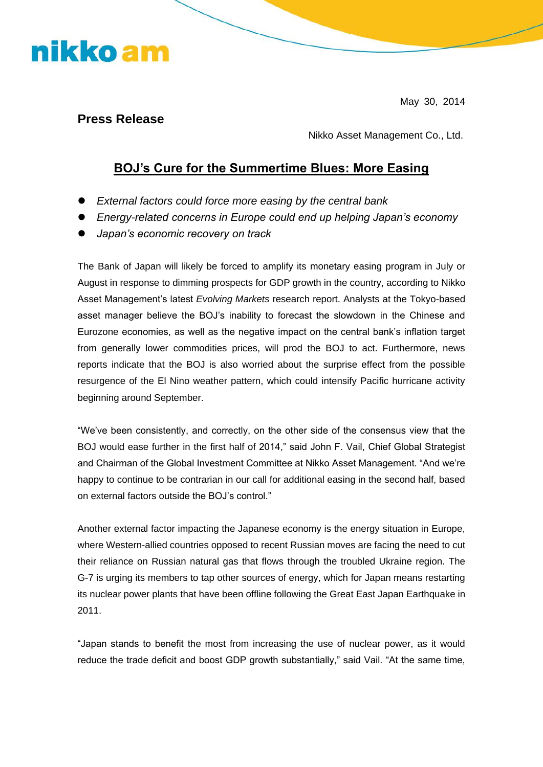## nikko am

May 30, 2014

#### **Press Release**

Nikko Asset Management Co., Ltd.

### **BOJ's Cure for the Summertime Blues: More Easing**

- *External factors could force more easing by the central bank*
- *Energy-related concerns in Europe could end up helping Japan's economy*
- *Japan's economic recovery on track*

The Bank of Japan will likely be forced to amplify its monetary easing program in July or August in response to dimming prospects for GDP growth in the country, according to Nikko Asset Management's latest *Evolving Markets* research report. Analysts at the Tokyo-based asset manager believe the BOJ's inability to forecast the slowdown in the Chinese and Eurozone economies, as well as the negative impact on the central bank's inflation target from generally lower commodities prices, will prod the BOJ to act. Furthermore, news reports indicate that the BOJ is also worried about the surprise effect from the possible resurgence of the El Nino weather pattern, which could intensify Pacific hurricane activity beginning around September.

"We've been consistently, and correctly, on the other side of the consensus view that the BOJ would ease further in the first half of 2014," said John F. Vail, Chief Global Strategist and Chairman of the Global Investment Committee at Nikko Asset Management. "And we're happy to continue to be contrarian in our call for additional easing in the second half, based on external factors outside the BOJ's control."

Another external factor impacting the Japanese economy is the energy situation in Europe, where Western-allied countries opposed to recent Russian moves are facing the need to cut their reliance on Russian natural gas that flows through the troubled Ukraine region. The G-7 is urging its members to tap other sources of energy, which for Japan means restarting its nuclear power plants that have been offline following the Great East Japan Earthquake in 2011.

"Japan stands to benefit the most from increasing the use of nuclear power, as it would reduce the trade deficit and boost GDP growth substantially," said Vail. "At the same time,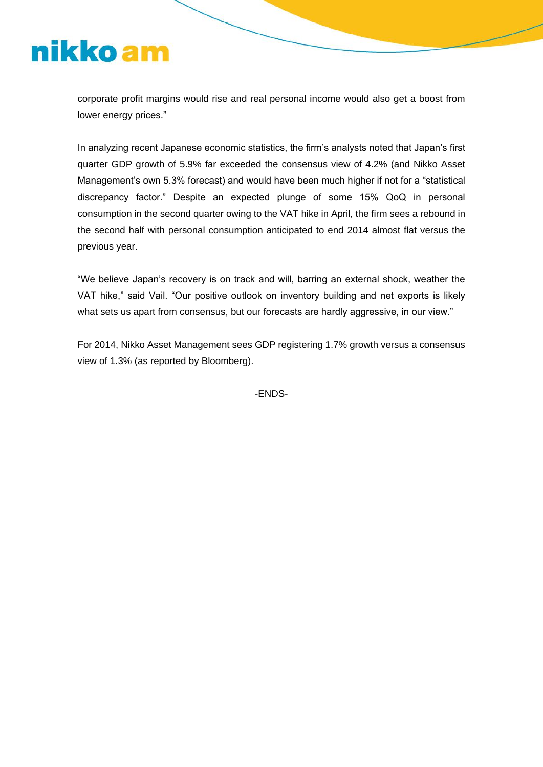# nikko am

corporate profit margins would rise and real personal income would also get a boost from lower energy prices."

In analyzing recent Japanese economic statistics, the firm's analysts noted that Japan's first quarter GDP growth of 5.9% far exceeded the consensus view of 4.2% (and Nikko Asset Management's own 5.3% forecast) and would have been much higher if not for a "statistical discrepancy factor." Despite an expected plunge of some 15% QoQ in personal consumption in the second quarter owing to the VAT hike in April, the firm sees a rebound in the second half with personal consumption anticipated to end 2014 almost flat versus the previous year.

"We believe Japan's recovery is on track and will, barring an external shock, weather the VAT hike," said Vail. "Our positive outlook on inventory building and net exports is likely what sets us apart from consensus, but our forecasts are hardly aggressive, in our view."

For 2014, Nikko Asset Management sees GDP registering 1.7% growth versus a consensus view of 1.3% (as reported by Bloomberg).

-ENDS-